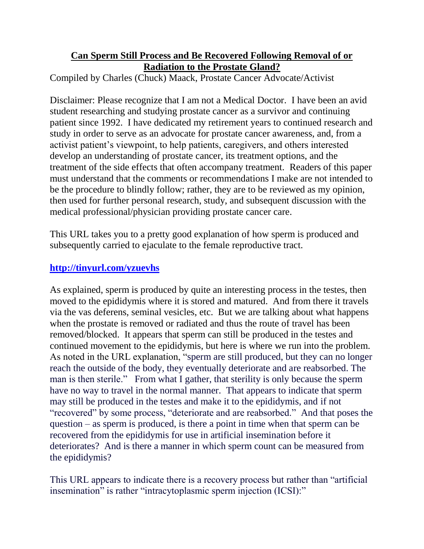## **Can Sperm Still Process and Be Recovered Following Removal of or Radiation to the Prostate Gland?**

Compiled by Charles (Chuck) Maack, Prostate Cancer Advocate/Activist

Disclaimer: Please recognize that I am not a Medical Doctor. I have been an avid student researching and studying prostate cancer as a survivor and continuing patient since 1992. I have dedicated my retirement years to continued research and study in order to serve as an advocate for prostate cancer awareness, and, from a activist patient's viewpoint, to help patients, caregivers, and others interested develop an understanding of prostate cancer, its treatment options, and the treatment of the side effects that often accompany treatment. Readers of this paper must understand that the comments or recommendations I make are not intended to be the procedure to blindly follow; rather, they are to be reviewed as my opinion, then used for further personal research, study, and subsequent discussion with the medical professional/physician providing prostate cancer care.

This URL takes you to a pretty good explanation of how sperm is produced and subsequently carried to ejaculate to the female reproductive tract.

## **<http://tinyurl.com/yzuevhs>**

As explained, sperm is produced by quite an interesting process in the testes, then moved to the epididymis where it is stored and matured. And from there it travels via the vas deferens, seminal vesicles, etc. But we are talking about what happens when the prostate is removed or radiated and thus the route of travel has been removed/blocked. It appears that sperm can still be produced in the testes and continued movement to the epididymis, but here is where we run into the problem. As noted in the URL explanation, "sperm are still produced, but they can no longer reach the outside of the body, they eventually deteriorate and are reabsorbed. The man is then sterile." From what I gather, that sterility is only because the sperm have no way to travel in the normal manner. That appears to indicate that sperm may still be produced in the testes and make it to the epididymis, and if not "recovered" by some process, "deteriorate and are reabsorbed." And that poses the question – as sperm is produced, is there a point in time when that sperm can be recovered from the epididymis for use in artificial insemination before it deteriorates? And is there a manner in which sperm count can be measured from the epididymis?

This URL appears to indicate there is a recovery process but rather than "artificial insemination" is rather "intracytoplasmic sperm injection (ICSI):"